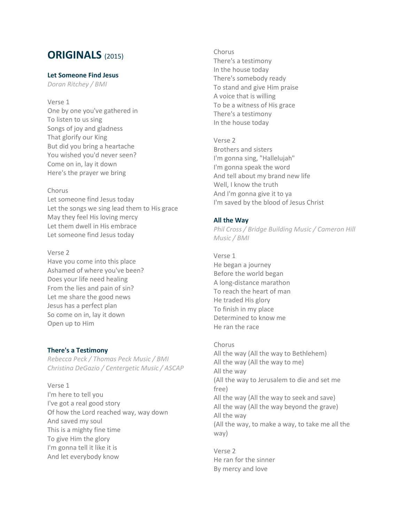# **ORIGINALS** (2015)

# **Let Someone Find Jesus**

*Doran Ritchey / BMI*

Verse 1 One by one you've gathered in To listen to us sing Songs of joy and gladness That glorify our King But did you bring a heartache You wished you'd never seen? Come on in, lay it down Here's the prayer we bring

## Chorus

Let someone find Jesus today Let the songs we sing lead them to His grace May they feel His loving mercy Let them dwell in His embrace Let someone find Jesus today

## Verse 2

Have you come into this place Ashamed of where you've been? Does your life need healing From the lies and pain of sin? Let me share the good news Jesus has a perfect plan So come on in, lay it down Open up to Him

# **There's a Testimony**

*Rebecca Peck / Thomas Peck Music / BMI Christina DeGazio / Centergetic Music / ASCAP*

Verse 1 I'm here to tell you I've got a real good story Of how the Lord reached way, way down And saved my soul This is a mighty fine time To give Him the glory I'm gonna tell it like it is And let everybody know

Chorus There's a testimony In the house today There's somebody ready To stand and give Him praise A voice that is willing To be a witness of His grace There's a testimony In the house today

Verse 2 Brothers and sisters I'm gonna sing, "Hallelujah" I'm gonna speak the word And tell about my brand new life Well, I know the truth And I'm gonna give it to ya I'm saved by the blood of Jesus Christ

# **All the Way**

*Phil Cross / Bridge Building Music / Cameron Hill Music / BMI*

Verse 1 He began a journey Before the world began A long-distance marathon To reach the heart of man He traded His glory To finish in my place Determined to know me He ran the race

Chorus All the way (All the way to Bethlehem) All the way (All the way to me) All the way (All the way to Jerusalem to die and set me free) All the way (All the way to seek and save) All the way (All the way beyond the grave) All the way (All the way, to make a way, to take me all the way)

Verse 2 He ran for the sinner By mercy and love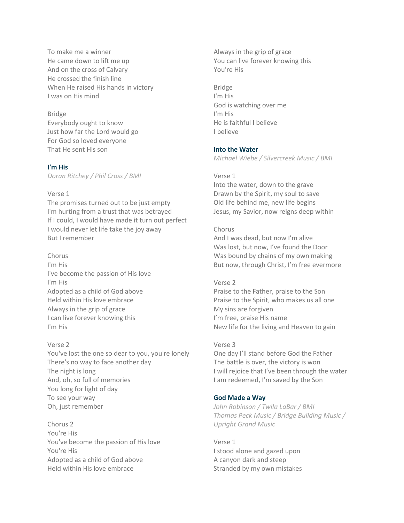To make me a winner He came down to lift me up And on the cross of Calvary He crossed the finish line When He raised His hands in victory I was on His mind

## Bridge

Everybody ought to know Just how far the Lord would go For God so loved everyone That He sent His son

## **I'm His**

*Doran Ritchey / Phil Cross / BMI*

#### Verse 1

The promises turned out to be just empty I'm hurting from a trust that was betrayed If I could, I would have made it turn out perfect I would never let life take the joy away But I remember

Chorus I'm His I've become the passion of His love I'm His Adopted as a child of God above Held within His love embrace Always in the grip of grace I can live forever knowing this I'm His

#### Verse 2

You've lost the one so dear to you, you're lonely There's no way to face another day The night is long And, oh, so full of memories You long for light of day To see your way Oh, just remember

Chorus 2 You're His You've become the passion of His love You're His Adopted as a child of God above Held within His love embrace

Always in the grip of grace You can live forever knowing this You're His

Bridge I'm His God is watching over me I'm His He is faithful I believe I believe

### **Into the Water**

*Michael Wiebe / Silvercreek Music / BMI*

#### Verse 1

Into the water, down to the grave Drawn by the Spirit, my soul to save Old life behind me, new life begins Jesus, my Savior, now reigns deep within

## Chorus

And I was dead, but now I'm alive Was lost, but now, I've found the Door Was bound by chains of my own making But now, through Christ, I'm free evermore

## Verse 2

Praise to the Father, praise to the Son Praise to the Spirit, who makes us all one My sins are forgiven I'm free, praise His name New life for the living and Heaven to gain

### Verse 3

One day I'll stand before God the Father The battle is over, the victory is won I will rejoice that I've been through the water I am redeemed, I'm saved by the Son

#### **God Made a Way**

*John Robinson / Twila LaBar / BMI Thomas Peck Music / Bridge Building Music / Upright Grand Music*

Verse 1 I stood alone and gazed upon A canyon dark and steep Stranded by my own mistakes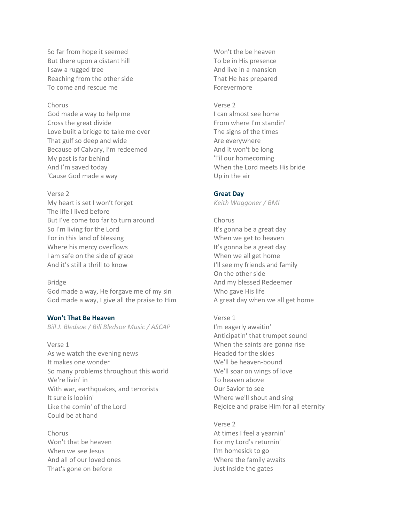So far from hope it seemed But there upon a distant hill I saw a rugged tree Reaching from the other side To come and rescue me

# Chorus

God made a way to help me Cross the great divide Love built a bridge to take me over That gulf so deep and wide Because of Calvary, I'm redeemed My past is far behind And I'm saved today 'Cause God made a way

## Verse 2

My heart is set I won't forget The life I lived before But I've come too far to turn around So I'm living for the Lord For in this land of blessing Where his mercy overflows I am safe on the side of grace And it's still a thrill to know

## Bridge

God made a way, He forgave me of my sin God made a way, I give all the praise to Him

#### **Won't That Be Heaven**

*Bill J. Bledsoe / Bill Bledsoe Music / ASCAP*

Verse 1 As we watch the evening news It makes one wonder So many problems throughout this world We're livin' in With war, earthquakes, and terrorists It sure is lookin' Like the comin' of the Lord Could be at hand

Chorus Won't that be heaven When we see Jesus And all of our loved ones That's gone on before

Won't the be heaven To be in His presence And live in a mansion That He has prepared Forevermore

## Verse 2

I can almost see home From where I'm standin' The signs of the times Are everywhere And it won't be long 'Til our homecoming When the Lord meets His bride Up in the air

### **Great Day**

*Keith Waggoner / BMI*

- Chorus It's gonna be a great day When we get to heaven It's gonna be a great day When we all get home I'll see my friends and family On the other side And my blessed Redeemer Who gave His life A great day when we all get home
- Verse 1 I'm eagerly awaitin' Anticipatin' that trumpet sound When the saints are gonna rise Headed for the skies We'll be heaven-bound We'll soar on wings of love To heaven above Our Savior to see Where we'll shout and sing Rejoice and praise Him for all eternity

Verse 2 At times I feel a yearnin' For my Lord's returnin' I'm homesick to go Where the family awaits Just inside the gates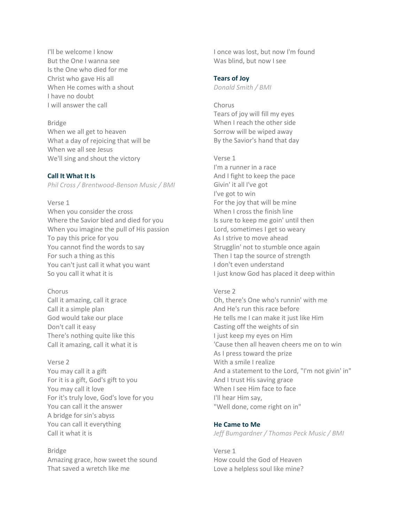I'll be welcome I know But the One I wanna see Is the One who died for me Christ who gave His all When He comes with a shout I have no doubt I will answer the call

#### Bridge

When we all get to heaven What a day of rejoicing that will be When we all see Jesus We'll sing and shout the victory

## **Call It What It Is**

*Phil Cross / Brentwood-Benson Music / BMI*

# Verse 1

When you consider the cross Where the Savior bled and died for you When you imagine the pull of His passion To pay this price for you You cannot find the words to say For such a thing as this You can't just call it what you want So you call it what it is

# Chorus

Call it amazing, call it grace Call it a simple plan God would take our place Don't call it easy There's nothing quite like this Call it amazing, call it what it is

#### Verse 2

You may call it a gift For it is a gift, God's gift to you You may call it love For it's truly love, God's love for you You can call it the answer A bridge for sin's abyss You can call it everything Call it what it is

Bridge Amazing grace, how sweet the sound That saved a wretch like me

I once was lost, but now I'm found Was blind, but now I see

#### **Tears of Joy**

*Donald Smith / BMI*

# Chorus Tears of joy will fill my eyes When I reach the other side Sorrow will be wiped away By the Savior's hand that day

#### Verse 1

I'm a runner in a race And I fight to keep the pace Givin' it all I've got I've got to win For the joy that will be mine When I cross the finish line Is sure to keep me goin' until then Lord, sometimes I get so weary As I strive to move ahead Strugglin' not to stumble once again Then I tap the source of strength I don't even understand I just know God has placed it deep within

#### Verse 2

Oh, there's One who's runnin' with me And He's run this race before He tells me I can make it just like Him Casting off the weights of sin I just keep my eyes on Him 'Cause then all heaven cheers me on to win As I press toward the prize With a smile I realize And a statement to the Lord, "I'm not givin' in" And I trust His saving grace When I see Him face to face I'll hear Him say, "Well done, come right on in"

# **He Came to Me**

*Jeff Bumgardner / Thomas Peck Music / BMI*

Verse 1 How could the God of Heaven Love a helpless soul like mine?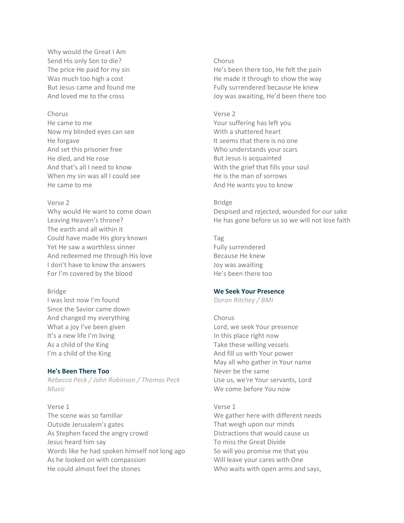Why would the Great I Am Send His only Son to die? The price He paid for my sin Was much too high a cost But Jesus came and found me And loved me to the cross

# Chorus

He came to me Now my blinded eyes can see He forgave And set this prisoner free He died, and He rose And that's all I need to know When my sin was all I could see He came to me

#### Verse 2

Why would He want to come down Leaving Heaven's throne? The earth and all within it Could have made His glory known Yet He saw a worthless sinner And redeemed me through His love I don't have to know the answers For I'm covered by the blood

#### Bridge

I was lost now I'm found Since the Savior came down And changed my everything What a joy I've been given It's a new life I'm living As a child of the King I'm a child of the King

## **He's Been There Too**

*Rebecca Peck / John Robinson / Thomas Peck Music*

Verse 1 The scene was so familiar Outside Jerusalem's gates As Stephen faced the angry crowd Jesus heard him say Words like he had spoken himself not long ago As he looked on with compassion He could almost feel the stones

## Chorus

He's been there too, He felt the pain He made it through to show the way Fully surrendered because He knew Joy was awaiting, He'd been there too

#### Verse 2

Your suffering has left you With a shattered heart It seems that there is no one Who understands your scars But Jesus is acquainted With the grief that fills your soul He is the man of sorrows And He wants you to know

#### Bridge

Despised and rejected, wounded for our sake He has gone before us so we will not lose faith

Tag Fully surrendered Because He knew Joy was awaiting He's been there too

#### **We Seek Your Presence**

*Doran Ritchey / BMI*

#### Chorus

Lord, we seek Your presence In this place right now Take these willing vessels And fill us with Your power May all who gather in Your name Never be the same Use us, we're Your servants, Lord We come before You now

## Verse 1

We gather here with different needs That weigh upon our minds Distractions that would cause us To miss the Great Divide So will you promise me that you Will leave your cares with One Who waits with open arms and says,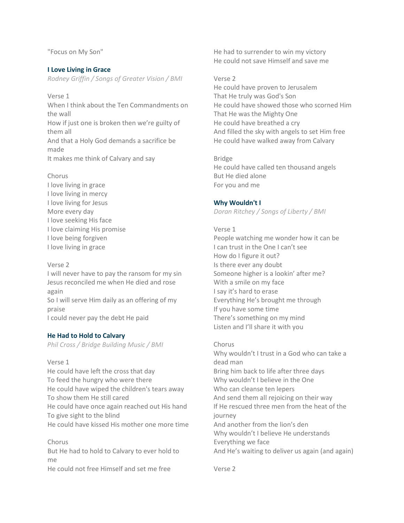"Focus on My Son"

#### **I Love Living in Grace**

*Rodney Griffin / Songs of Greater Vision / BMI*

Verse 1 When I think about the Ten Commandments on the wall How if just one is broken then we're guilty of

them all And that a Holy God demands a sacrifice be made

It makes me think of Calvary and say

Chorus

I love living in grace I love living in mercy I love living for Jesus More every day I love seeking His face I love claiming His promise I love being forgiven I love living in grace

#### Verse 2

I will never have to pay the ransom for my sin Jesus reconciled me when He died and rose again So I will serve Him daily as an offering of my praise I could never pay the debt He paid

#### **He Had to Hold to Calvary**

*Phil Cross / Bridge Building Music / BMI*

#### Verse 1

He could have left the cross that day To feed the hungry who were there He could have wiped the children's tears away To show them He still cared He could have once again reached out His hand To give sight to the blind He could have kissed His mother one more time

Chorus But He had to hold to Calvary to ever hold to me He could not free Himself and set me free

He had to surrender to win my victory He could not save Himself and save me

#### Verse 2

He could have proven to Jerusalem That He truly was God's Son He could have showed those who scorned Him That He was the Mighty One He could have breathed a cry And filled the sky with angels to set Him free He could have walked away from Calvary

Bridge He could have called ten thousand angels But He died alone For you and me

## **Why Wouldn't I**

*Doran Ritchey / Songs of Liberty / BMI*

Verse 1

People watching me wonder how it can be I can trust in the One I can't see How do I figure it out? Is there ever any doubt Someone higher is a lookin' after me? With a smile on my face I say it's hard to erase Everything He's brought me through If you have some time There's something on my mind Listen and I'll share it with you

Chorus Why wouldn't I trust in a God who can take a dead man Bring him back to life after three days Why wouldn't I believe in the One Who can cleanse ten lepers And send them all rejoicing on their way If He rescued three men from the heat of the journey And another from the lion's den Why wouldn't I believe He understands Everything we face And He's waiting to deliver us again (and again)

Verse 2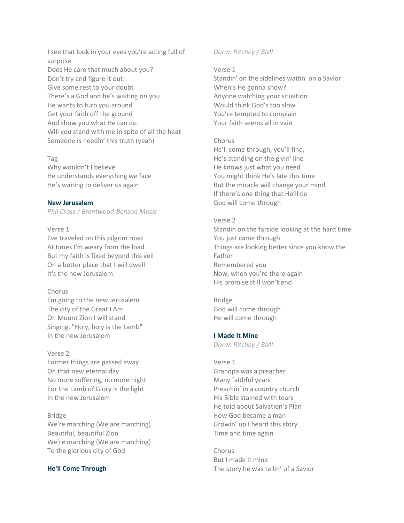I see that look in your eyes you're acting full of surprise Does He care that much about you? Don't try and figure it out Give some rest to your doubt There's a God and he's waiting on you He wants to turn you around Get your faith off the ground And show you what He can do Will you stand with me in spite of all the heat Someone is needin' this truth (yeah)

#### Tag

Why wouldn't I believe He understands everything we face He's waiting to deliver us again

## **New Jerusalem**

*Phil Cross / Brentwood-Benson Music*

# Verse 1

I've traveled on this pilgrim road At times I'm weary from the load But my faith is fixed beyond this veil On a better place that I will dwell It's the new Jerusalem

# Chorus

I'm going to the new Jerusalem The city of the Great I Am On Mount Zion I will stand Singing, "Holy, holy is the Lamb" In the new Jerusalem

## Verse 2

Former things are passed away On that new eternal day No more suffering, no more night For the Lamb of Glory is the light In the new Jerusalem

# Bridge

We're marching (We are marching) Beautiful, beautiful Zion We're marching (We are marching) To the glorious city of God

# **He'll Come Through**

# *Doran Ritchey / BMI*

Verse 1

Standin' on the sidelines waitin' on a Savior When's He gonna show? Anyone watching your situation Would think God's too slow You're tempted to complain Your faith seems all in vain

## Chorus

He'll come through, you'll find, He's standing on the givin' line He knows just what you need You might think He's late this time But the miracle will change your mind If there's one thing that He'll do God will come through

## Verse 2

Standin on the farside looking at the hard time You just came through Things are looking better since you know the Father Remembered you Now, when you're there again His promise still won't end

# Bridge

God will come through He will come through

## **I Made It Mine**

*Doran Ritchey / BMI*

# Verse 1

Grandpa was a preacher Many faithful years Preachin' in a country church His Bible stained with tears He told about Salvation's Plan How God became a man Growin' up I heard this story Time and time again

Chorus But I made it mine The story he was tellin' of a Savior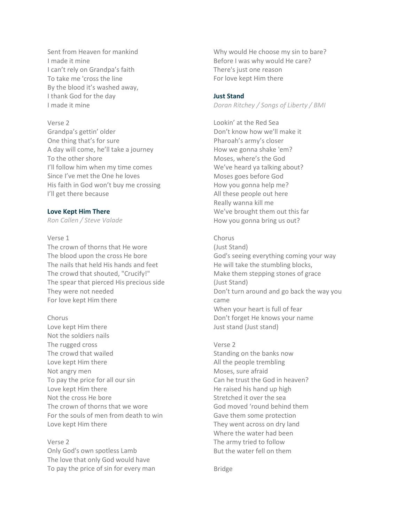Sent from Heaven for mankind I made it mine I can't rely on Grandpa's faith To take me 'cross the line By the blood it's washed away, I thank God for the day I made it mine

## Verse 2

Grandpa's gettin' older One thing that's for sure A day will come, he'll take a journey To the other shore I'll follow him when my time comes Since I've met the One he loves His faith in God won't buy me crossing I'll get there because

## **Love Kept Him There**

*Ron Callen / Steve Valade*

Verse 1

The crown of thorns that He wore The blood upon the cross He bore The nails that held His hands and feet The crowd that shouted, "Crucify!" The spear that pierced His precious side They were not needed For love kept Him there

Chorus

Love kept Him there Not the soldiers nails The rugged cross The crowd that wailed Love kept Him there Not angry men To pay the price for all our sin Love kept Him there Not the cross He bore The crown of thorns that we wore For the souls of men from death to win Love kept Him there

Verse 2 Only God's own spotless Lamb The love that only God would have To pay the price of sin for every man Why would He choose my sin to bare? Before I was why would He care? There's just one reason For love kept Him there

## **Just Stand**

*Doran Ritchey / Songs of Liberty / BMI*

Lookin' at the Red Sea Don't know how we'll make it Pharoah's army's closer How we gonna shake 'em? Moses, where's the God We've heard ya talking about? Moses goes before God How you gonna help me? All these people out here Really wanna kill me We've brought them out this far How you gonna bring us out?

#### Chorus

(Just Stand) God's seeing everything coming your way He will take the stumbling blocks, Make them stepping stones of grace (Just Stand) Don't turn around and go back the way you came When your heart is full of fear Don't forget He knows your name Just stand (Just stand)

Verse 2 Standing on the banks now All the people trembling Moses, sure afraid Can he trust the God in heaven? He raised his hand up high Stretched it over the sea God moved 'round behind them Gave them some protection They went across on dry land Where the water had been The army tried to follow But the water fell on them

Bridge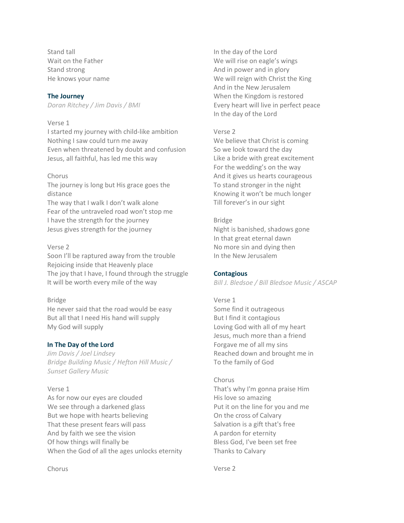Stand tall Wait on the Father Stand strong He knows your name

## **The Journey**

*Doran Ritchey / Jim Davis / BMI*

## Verse 1

I started my journey with child-like ambition Nothing I saw could turn me away Even when threatened by doubt and confusion Jesus, all faithful, has led me this way

#### Chorus

The journey is long but His grace goes the distance

The way that I walk I don't walk alone Fear of the untraveled road won't stop me I have the strength for the journey Jesus gives strength for the journey

#### Verse 2

Soon I'll be raptured away from the trouble Rejoicing inside that Heavenly place The joy that I have, I found through the struggle It will be worth every mile of the way

#### Bridge

He never said that the road would be easy But all that I need His hand will supply My God will supply

## **In The Day of the Lord**

*Jim Davis / Joel Lindsey Bridge Building Music / Hefton Hill Music / Sunset Gallery Music*

## Verse 1

As for now our eyes are clouded We see through a darkened glass But we hope with hearts believing That these present fears will pass And by faith we see the vision Of how things will finally be When the God of all the ages unlocks eternity In the day of the Lord We will rise on eagle's wings And in power and in glory We will reign with Christ the King And in the New Jerusalem When the Kingdom is restored Every heart will live in perfect peace In the day of the Lord

#### Verse 2

We believe that Christ is coming So we look toward the day Like a bride with great excitement For the wedding's on the way And it gives us hearts courageous To stand stronger in the night Knowing it won't be much longer Till forever's in our sight

#### Bridge

Night is banished, shadows gone In that great eternal dawn No more sin and dying then In the New Jerusalem

## **Contagious**

*Bill J. Bledsoe / Bill Bledsoe Music / ASCAP*

# Verse 1 Some find it outrageous But I find it contagious Loving God with all of my heart Jesus, much more than a friend Forgave me of all my sins Reached down and brought me in To the family of God

# Chorus That's why I'm gonna praise Him His love so amazing Put it on the line for you and me On the cross of Calvary Salvation is a gift that's free A pardon for eternity Bless God, I've been set free Thanks to Calvary

Verse 2

Chorus